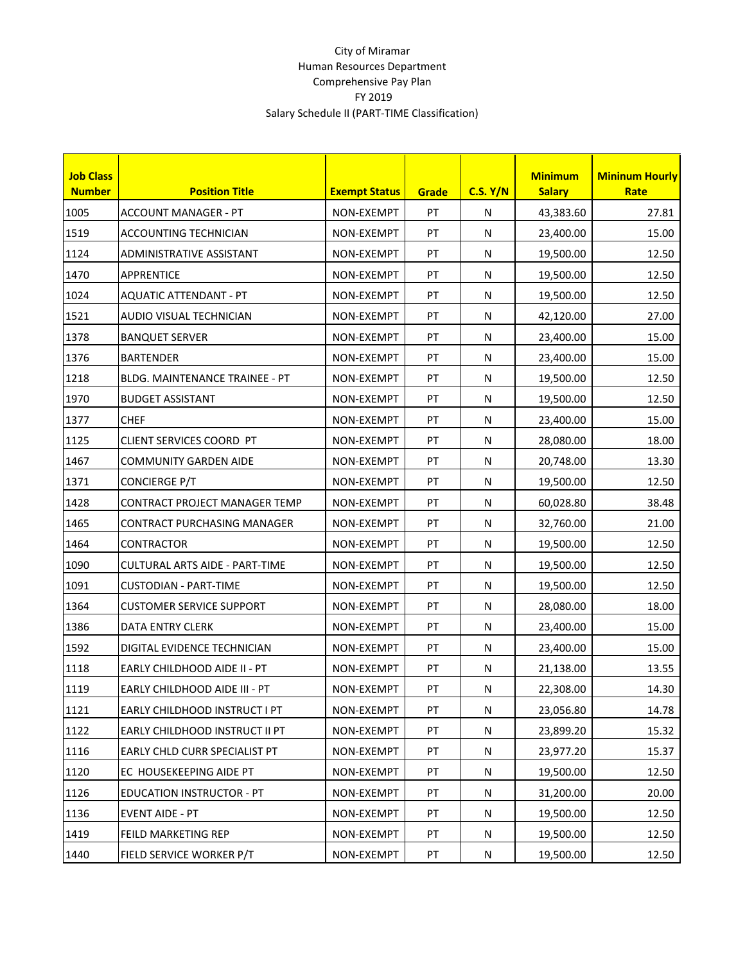## City of Miramar Human Resources Department Comprehensive Pay Plan FY 2019 Salary Schedule II (PART-TIME Classification)

| <b>Job Class</b><br><b>Number</b> | <b>Position Title</b>                 | <b>Exempt Status</b> | Grade | C.S. Y/N  | <b>Minimum</b><br><b>Salary</b> | <b>Mininum Hourly</b><br><b>Rate</b> |
|-----------------------------------|---------------------------------------|----------------------|-------|-----------|---------------------------------|--------------------------------------|
| 1005                              | ACCOUNT MANAGER - PT                  | NON-EXEMPT           | PT    | N         | 43,383.60                       | 27.81                                |
| 1519                              | ACCOUNTING TECHNICIAN                 | NON-EXEMPT           | PT    | N         | 23,400.00                       | 15.00                                |
| 1124                              | ADMINISTRATIVE ASSISTANT              | NON-EXEMPT           | PT    | ${\sf N}$ | 19,500.00                       | 12.50                                |
| 1470                              | <b>APPRENTICE</b>                     | NON-EXEMPT           | PT    | N         | 19,500.00                       | 12.50                                |
| 1024                              | <b>AQUATIC ATTENDANT - PT</b>         | NON-EXEMPT           | PT    | ${\sf N}$ | 19,500.00                       | 12.50                                |
| 1521                              | AUDIO VISUAL TECHNICIAN               | NON-EXEMPT           | PT    | N         | 42,120.00                       | 27.00                                |
| 1378                              | <b>BANQUET SERVER</b>                 | NON-EXEMPT           | PT    | N         | 23,400.00                       | 15.00                                |
| 1376                              | <b>BARTENDER</b>                      | NON-EXEMPT           | PT    | ${\sf N}$ | 23,400.00                       | 15.00                                |
| 1218                              | BLDG. MAINTENANCE TRAINEE - PT        | NON-EXEMPT           | PT    | ${\sf N}$ | 19,500.00                       | 12.50                                |
| 1970                              | <b>BUDGET ASSISTANT</b>               | NON-EXEMPT           | PT    | ${\sf N}$ | 19,500.00                       | 12.50                                |
| 1377                              | <b>CHEF</b>                           | NON-EXEMPT           | PT    | ${\sf N}$ | 23,400.00                       | 15.00                                |
| 1125                              | CLIENT SERVICES COORD PT              | NON-EXEMPT           | PT    | N         | 28,080.00                       | 18.00                                |
| 1467                              | <b>COMMUNITY GARDEN AIDE</b>          | NON-EXEMPT           | PT    | ${\sf N}$ | 20,748.00                       | 13.30                                |
| 1371                              | <b>CONCIERGE P/T</b>                  | NON-EXEMPT           | PT    | ${\sf N}$ | 19,500.00                       | 12.50                                |
| 1428                              | CONTRACT PROJECT MANAGER TEMP         | NON-EXEMPT           | PT    | N         | 60,028.80                       | 38.48                                |
| 1465                              | CONTRACT PURCHASING MANAGER           | NON-EXEMPT           | PT    | ${\sf N}$ | 32,760.00                       | 21.00                                |
| 1464                              | <b>CONTRACTOR</b>                     | NON-EXEMPT           | PT    | ${\sf N}$ | 19,500.00                       | 12.50                                |
| 1090                              | <b>CULTURAL ARTS AIDE - PART-TIME</b> | NON-EXEMPT           | PT    | ${\sf N}$ | 19,500.00                       | 12.50                                |
| 1091                              | <b>CUSTODIAN - PART-TIME</b>          | NON-EXEMPT           | PT    | N         | 19,500.00                       | 12.50                                |
| 1364                              | <b>CUSTOMER SERVICE SUPPORT</b>       | NON-EXEMPT           | PT    | ${\sf N}$ | 28,080.00                       | 18.00                                |
| 1386                              | DATA ENTRY CLERK                      | NON-EXEMPT           | PT    | N         | 23,400.00                       | 15.00                                |
| 1592                              | DIGITAL EVIDENCE TECHNICIAN           | NON-EXEMPT           | PT    | ${\sf N}$ | 23,400.00                       | 15.00                                |
| 1118                              | EARLY CHILDHOOD AIDE II - PT          | NON-EXEMPT           | PT    | N         | 21,138.00                       | 13.55                                |
| 1119                              | EARLY CHILDHOOD AIDE III - PT         | NON-EXEMPT           | PT    | N         | 22,308.00                       | 14.30                                |
| 1121                              | EARLY CHILDHOOD INSTRUCT I PT         | NON-EXEMPT           | PT    | N         | 23,056.80                       | 14.78                                |
| 1122                              | EARLY CHILDHOOD INSTRUCT II PT        | NON-EXEMPT           | PT    | N         | 23,899.20                       | 15.32                                |
| 1116                              | EARLY CHLD CURR SPECIALIST PT         | NON-EXEMPT           | PT    | N         | 23,977.20                       | 15.37                                |
| 1120                              | EC HOUSEKEEPING AIDE PT               | NON-EXEMPT           | PT    | N         | 19,500.00                       | 12.50                                |
| 1126                              | <b>EDUCATION INSTRUCTOR - PT</b>      | NON-EXEMPT           | PT    | N         | 31,200.00                       | 20.00                                |
| 1136                              | <b>EVENT AIDE - PT</b>                | NON-EXEMPT           | PT    | N         | 19,500.00                       | 12.50                                |
| 1419                              | FEILD MARKETING REP                   | NON-EXEMPT           | PT    | N         | 19,500.00                       | 12.50                                |
| 1440                              | FIELD SERVICE WORKER P/T              | NON-EXEMPT           | PT    | ${\sf N}$ | 19,500.00                       | 12.50                                |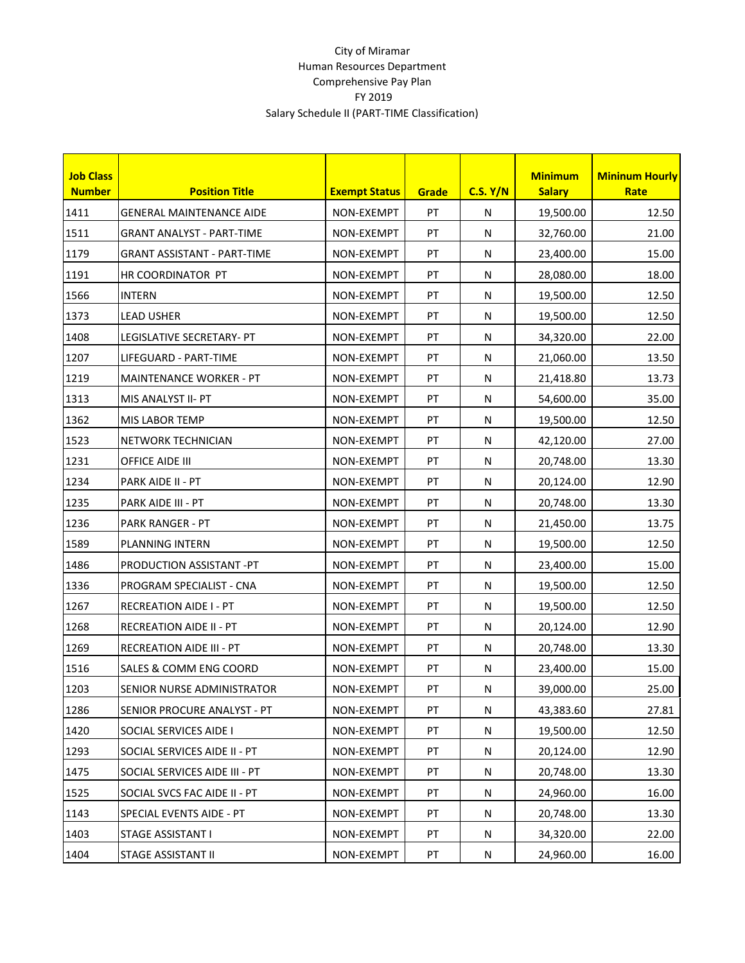## City of Miramar Human Resources Department Comprehensive Pay Plan FY 2019 Salary Schedule II (PART-TIME Classification)

| <b>Job Class</b><br><b>Number</b> | <b>Position Title</b>              | <b>Exempt Status</b> | Grade      | C.S. Y/N  | <b>Minimum</b><br><b>Salary</b> | <b>Mininum Hourly</b><br><b>Rate</b> |
|-----------------------------------|------------------------------------|----------------------|------------|-----------|---------------------------------|--------------------------------------|
| 1411                              | <b>GENERAL MAINTENANCE AIDE</b>    | NON-EXEMPT           | PT         | N         | 19,500.00                       | 12.50                                |
| 1511                              | <b>GRANT ANALYST - PART-TIME</b>   | NON-EXEMPT           | PT         | ${\sf N}$ | 32,760.00                       | 21.00                                |
| 1179                              | <b>GRANT ASSISTANT - PART-TIME</b> | NON-EXEMPT           | PT         | ${\sf N}$ | 23,400.00                       | 15.00                                |
| 1191                              | HR COORDINATOR PT                  | NON-EXEMPT           | PT         | ${\sf N}$ | 28,080.00                       | 18.00                                |
| 1566                              | <b>INTERN</b>                      | NON-EXEMPT           | PT         | ${\sf N}$ | 19,500.00                       | 12.50                                |
| 1373                              | <b>LEAD USHER</b>                  | NON-EXEMPT           | PT         | N         | 19,500.00                       | 12.50                                |
| 1408                              | LEGISLATIVE SECRETARY- PT          | NON-EXEMPT           | PT         | N         | 34,320.00                       | 22.00                                |
| 1207                              | LIFEGUARD - PART-TIME              | NON-EXEMPT           | PT         | ${\sf N}$ | 21,060.00                       | 13.50                                |
| 1219                              | <b>MAINTENANCE WORKER - PT</b>     | NON-EXEMPT           | PT         | ${\sf N}$ | 21,418.80                       | 13.73                                |
| 1313                              | MIS ANALYST II- PT                 | NON-EXEMPT           | PT         | ${\sf N}$ | 54,600.00                       | 35.00                                |
| 1362                              | <b>MIS LABOR TEMP</b>              | NON-EXEMPT           | PT         | ${\sf N}$ | 19,500.00                       | 12.50                                |
| 1523                              | NETWORK TECHNICIAN                 | NON-EXEMPT           | PT         | N         | 42,120.00                       | 27.00                                |
| 1231                              | OFFICE AIDE III                    | NON-EXEMPT           | PT         | N         | 20,748.00                       | 13.30                                |
| 1234                              | PARK AIDE II - PT                  | NON-EXEMPT           | PT         | N         | 20,124.00                       | 12.90                                |
| 1235                              | PARK AIDE III - PT                 | NON-EXEMPT           | PT         | ${\sf N}$ | 20,748.00                       | 13.30                                |
| 1236                              | <b>PARK RANGER - PT</b>            | NON-EXEMPT           | PT         | ${\sf N}$ | 21,450.00                       | 13.75                                |
| 1589                              | PLANNING INTERN                    | NON-EXEMPT           | PT         | ${\sf N}$ | 19,500.00                       | 12.50                                |
| 1486                              | <b>PRODUCTION ASSISTANT -PT</b>    | NON-EXEMPT           | PT         | ${\sf N}$ | 23,400.00                       | 15.00                                |
| 1336                              | PROGRAM SPECIALIST - CNA           | NON-EXEMPT           | PT         | N         | 19,500.00                       | 12.50                                |
| 1267                              | <b>RECREATION AIDE I - PT</b>      | NON-EXEMPT           | PT         | ${\sf N}$ | 19,500.00                       | 12.50                                |
| 1268                              | RECREATION AIDE II - PT            | NON-EXEMPT           | PT         | ${\sf N}$ | 20,124.00                       | 12.90                                |
| 1269                              | <b>RECREATION AIDE III - PT</b>    | NON-EXEMPT           | PT         | ${\sf N}$ | 20,748.00                       | 13.30                                |
| 1516                              | SALES & COMM ENG COORD             | NON-EXEMPT           | PT         | N         | 23,400.00                       | 15.00                                |
| 1203                              | SENIOR NURSE ADMINISTRATOR         | NON-EXEMPT           | PT         | N         | 39,000.00                       | 25.00                                |
| 1286                              | SENIOR PROCURE ANALYST - PT        | NON-EXEMPT           | PT         | N         | 43,383.60                       | 27.81                                |
| 1420                              | SOCIAL SERVICES AIDE I             | NON-EXEMPT           | PT         | N         | 19,500.00                       | 12.50                                |
| 1293                              | SOCIAL SERVICES AIDE II - PT       | NON-EXEMPT           | PT         | ${\sf N}$ | 20,124.00                       | 12.90                                |
| 1475                              | SOCIAL SERVICES AIDE III - PT      | NON-EXEMPT           | PT         | ${\sf N}$ | 20,748.00                       | 13.30                                |
| 1525                              | SOCIAL SVCS FAC AIDE II - PT       | NON-EXEMPT           | PT         | N         | 24,960.00                       | 16.00                                |
| 1143                              | SPECIAL EVENTS AIDE - PT           | NON-EXEMPT           | PT         | N         | 20,748.00                       | 13.30                                |
| 1403                              | <b>STAGE ASSISTANT I</b>           | NON-EXEMPT           | PT         | N         | 34,320.00                       | 22.00                                |
| 1404                              | STAGE ASSISTANT II                 | NON-EXEMPT           | ${\sf PT}$ | ${\sf N}$ | 24,960.00                       | 16.00                                |